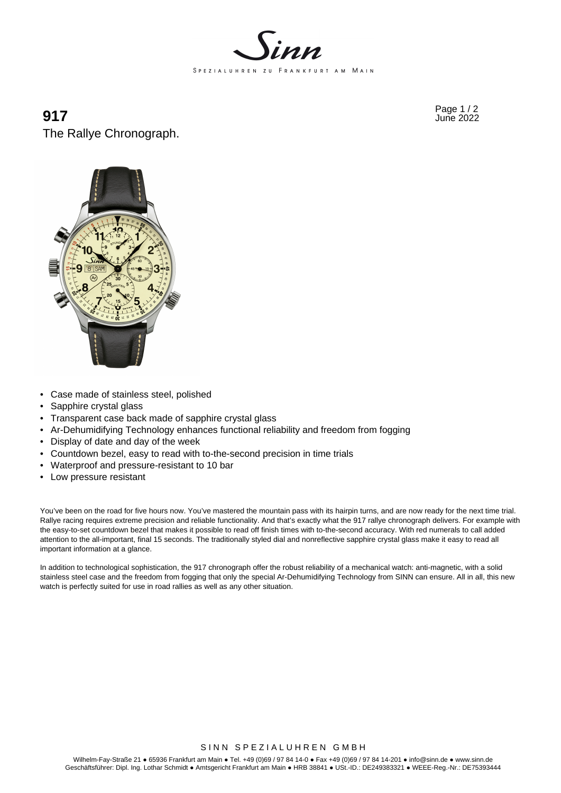

# $917$  Page 1 / 2 The Rallye Chronograph.



- Case made of stainless steel, polished
- Sapphire crystal glass
- Transparent case back made of sapphire crystal glass
- Ar-Dehumidifying Technology enhances functional reliability and freedom from fogging
- Display of date and day of the week
- Countdown bezel, easy to read with to-the-second precision in time trials
- Waterproof and pressure-resistant to 10 bar
- Low pressure resistant

You've been on the road for five hours now. You've mastered the mountain pass with its hairpin turns, and are now ready for the next time trial. Rallye racing requires extreme precision and reliable functionality. And that's exactly what the 917 rallye chronograph delivers. For example with the easy-to-set countdown bezel that makes it possible to read off finish times with to-the-second accuracy. With red numerals to call added attention to the all-important, final 15 seconds. The traditionally styled dial and nonreflective sapphire crystal glass make it easy to read all important information at a glance.

In addition to technological sophistication, the 917 chronograph offer the robust reliability of a mechanical watch: anti-magnetic, with a solid stainless steel case and the freedom from fogging that only the special Ar-Dehumidifying Technology from SINN can ensure. All in all, this new watch is perfectly suited for use in road rallies as well as any other situation.